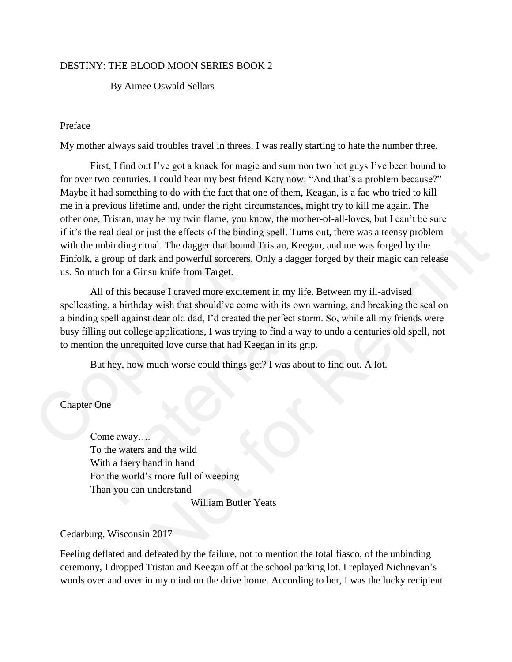# DESTINY: THE BLOOD MOON SERIES BOOK 2

### By Aimee Oswald Sellars

## Preface

My mother always said troubles travel in threes. I was really starting to hate the number three.

First, I find out I've got a knack for magic and summon two hot guys I've been bound to for over two centuries. I could hear my best friend Katy now: "And that's a problem because?" Maybe it had something to do with the fact that one of them, Keagan, is a fae who tried to kill me in a previous lifetime and, under the right circumstances, might try to kill me again. The other one, Tristan, may be my twin flame, you know, the mother-of-all-loves, but I can't be sure if it's the real deal or just the effects of the binding spell. Turns out, there was a teensy problem with the unbinding ritual. The dagger that bound Tristan, Keegan, and me was forged by the Finfolk, a group of dark and powerful sorcerers. Only a dagger forged by their magic can release us. So much for a Ginsu knife from Target. First, I find out I've got a knack for magic and summon two I<br>for over two centuries. I could hear my best friend Katy now: "And t<br>Maye it had something to do with the fact that one of them, Keagan<br>me in a previous lifetim

All of this because I craved more excitement in my life. Between my ill-advised spellcasting, a birthday wish that should've come with its own warning, and breaking the seal on a binding spell against dear old dad, I'd created the perfect storm. So, while all my friends were busy filling out college applications, I was trying to find a way to undo a centuries old spell, not to mention the unrequited love curse that had Keegan in its grip. but the effects of the binding spell. Turns out, there was a teensy problem<br>ust the effects of the binding spell. Turns out, there was a teensy problem<br>ual. The dagger that bound Tristan, Keegan, and me was forged by the<br>t

But hey, how much worse could things get? I was about to find out. A lot.

# Chapter One

Come away…. To the waters and the wild With a faery hand in hand For the world's more full of weeping Than you can understand William Butler Yeats Material School and School and School and School and School and School and School and School and School and School and School and School and School and School and School and School and School and School and School and Scho

### Cedarburg, Wisconsin 2017

Feeling deflated and defeated by the failure, not to mention the total fiasco, of the unbinding ceremony, I dropped Tristan and Keegan off at the school parking lot. I replayed Nichnevan's words over and over in my mind on the drive home. According to her, I was the lucky recipient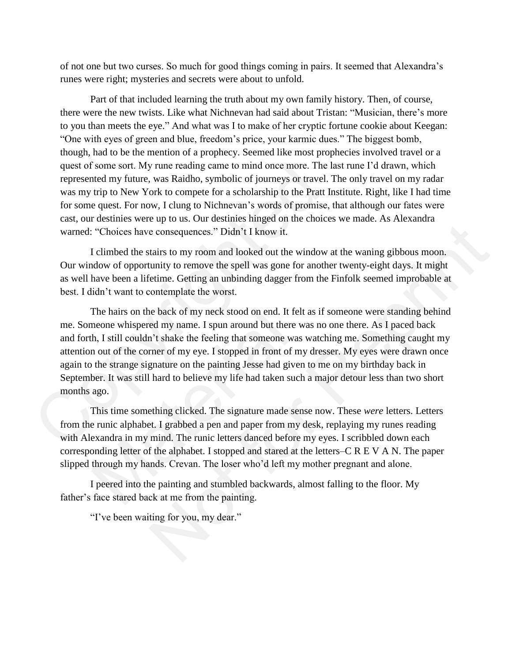of not one but two curses. So much for good things coming in pairs. It seemed that Alexandra's runes were right; mysteries and secrets were about to unfold.

Part of that included learning the truth about my own family history. Then, of course, there were the new twists. Like what Nichnevan had said about Tristan: "Musician, there's more to you than meets the eye." And what was I to make of her cryptic fortune cookie about Keegan: "One with eyes of green and blue, freedom's price, your karmic dues." The biggest bomb, though, had to be the mention of a prophecy. Seemed like most prophecies involved travel or a quest of some sort. My rune reading came to mind once more. The last rune I'd drawn, which represented my future, was Raidho, symbolic of journeys or travel. The only travel on my radar was my trip to New York to compete for a scholarship to the Pratt Institute. Right, like I had time for some quest. For now, I clung to Nichnevan's words of promise, that although our fates were cast, our destinies were up to us. Our destinies hinged on the choices we made. As Alexandra warned: "Choices have consequences." Didn't I know it.

I climbed the stairs to my room and looked out the window at the waning gibbous moon. Our window of opportunity to remove the spell was gone for another twenty-eight days. It might as well have been a lifetime. Getting an unbinding dagger from the Finfolk seemed improbable at best. I didn't want to contemplate the worst.

The hairs on the back of my neck stood on end. It felt as if someone were standing behind me. Someone whispered my name. I spun around but there was no one there. As I paced back and forth, I still couldn't shake the feeling that someone was watching me. Something caught my attention out of the corner of my eye. I stopped in front of my dresser. My eyes were drawn once again to the strange signature on the painting Jesse had given to me on my birthday back in September. It was still hard to believe my life had taken such a major detour less than two short months ago. quest of some sort. My rune reading came to mind once more. The la<br>represented my future, was Raidho, symbolic of journeys or travel. T<br>was my trip to New York to compete for a scholarship to the Pratt In<br>for some quest. F The hairs on the back of my neck stood on end. It felt<br>neone whispered my name. I spun around but there w<br>h, I still couldn't shake the feeling that someone was<br>n out of the corner of my eye. I stopped in front of my<br>the s e consequences." Didn't I know it.<br>
tairs to my room and looked out the window at the waning gibbous moon.<br>
unity to remove the spell was gone for another twenty-eight days. It might<br>
etime. Getting an unbinding dagger fro

This time something clicked. The signature made sense now. These *were* letters. Letters from the runic alphabet. I grabbed a pen and paper from my desk, replaying my runes reading with Alexandra in my mind. The runic letters danced before my eyes. I scribbled down each corresponding letter of the alphabet. I stopped and stared at the letters–C R E V A N. The paper slipped through my hands. Crevan. The loser who'd left my mother pregnant and alone.

I peered into the painting and stumbled backwards, almost falling to the floor. My father's face stared back at me from the painting.

"I've been waiting for you, my dear."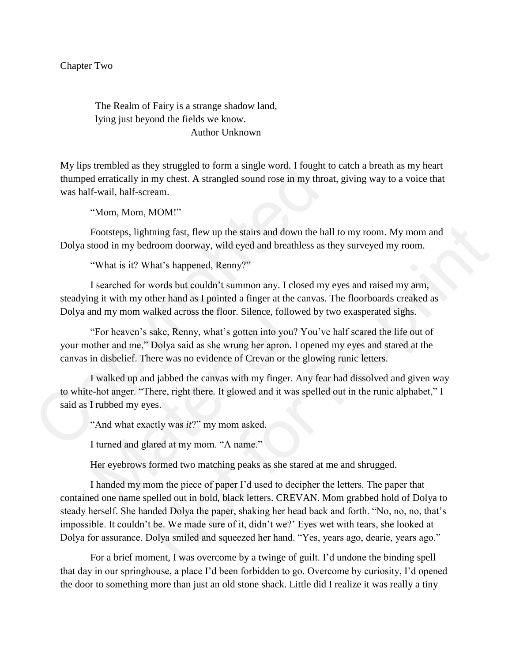The Realm of Fairy is a strange shadow land, lying just beyond the fields we know. Author Unknown

My lips trembled as they struggled to form a single word. I fought to catch a breath as my heart thumped erratically in my chest. A strangled sound rose in my throat, giving way to a voice that was half-wail, half-scream.

"Mom, Mom, MOM!"

Footsteps, lightning fast, flew up the stairs and down the hall to my room. My mom and Dolya stood in my bedroom doorway, wild eyed and breathless as they surveyed my room.

"What is it? What's happened, Renny?"

I searched for words but couldn't summon any. I closed my eyes and raised my arm, steadying it with my other hand as I pointed a finger at the canvas. The floorboards creaked as Dolya and my mom walked across the floor. Silence, followed by two exasperated sighs.

"For heaven's sake, Renny, what's gotten into you? You've half scared the life out of your mother and me," Dolya said as she wrung her apron. I opened my eyes and stared at the canvas in disbelief. There was no evidence of Crevan or the glowing runic letters. My lips trembled as they struggled to form a single word. I fought to<br>thumped erratically in my chest. A strangled sound rose in my throat<br>was half-wail, half-scream.<br>"Mom, MOM!"<br>Footsteps, lightning fast, flew up the sta nd my mom walked across the floor. Silence, followe<br>
"For heaven's sake, Renny, what's gotten into you? Y<br>
"Tor heaven's sake, Renny, what's gotten into you? Y<br>
in disbelief. There was no evidence of Crevan or the g<br>
I wal

I walked up and jabbed the canvas with my finger. Any fear had dissolved and given way to white-hot anger. "There, right there. It glowed and it was spelled out in the runic alphabet," I said as I rubbed my eyes.

"And what exactly was *it*?" my mom asked.

I turned and glared at my mom. "A name."

Her eyebrows formed two matching peaks as she stared at me and shrugged.

I handed my mom the piece of paper I'd used to decipher the letters. The paper that contained one name spelled out in bold, black letters. CREVAN. Mom grabbed hold of Dolya to steady herself. She handed Dolya the paper, shaking her head back and forth. "No, no, no, that's impossible. It couldn't be. We made sure of it, didn't we?' Eyes wet with tears, she looked at Dolya for assurance. Dolya smiled and squeezed her hand. "Yes, years ago, dearie, years ago." tning fast, flew up the stairs and down the hall to my room. My mom and<br>troom doorway, wild eyed and breathless as they surveyed my room.<br>
That's happened, Renny?"<br>
words but couldn't summon any. I closed my eyes and raise

For a brief moment, I was overcome by a twinge of guilt. I'd undone the binding spell that day in our springhouse, a place I'd been forbidden to go. Overcome by curiosity, I'd opened the door to something more than just an old stone shack. Little did I realize it was really a tiny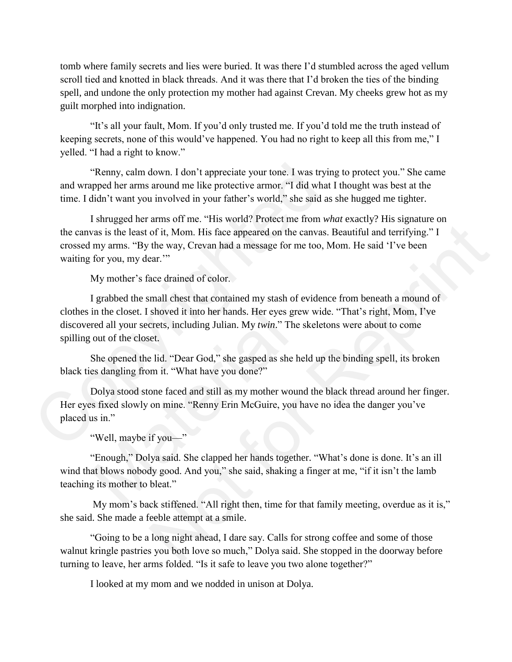tomb where family secrets and lies were buried. It was there I'd stumbled across the aged vellum scroll tied and knotted in black threads. And it was there that I'd broken the ties of the binding spell, and undone the only protection my mother had against Crevan. My cheeks grew hot as my guilt morphed into indignation.

"It's all your fault, Mom. If you'd only trusted me. If you'd told me the truth instead of keeping secrets, none of this would've happened. You had no right to keep all this from me," I yelled. "I had a right to know."

"Renny, calm down. I don't appreciate your tone. I was trying to protect you." She came and wrapped her arms around me like protective armor. "I did what I thought was best at the time. I didn't want you involved in your father's world," she said as she hugged me tighter.

I shrugged her arms off me. "His world? Protect me from *what* exactly? His signature on the canvas is the least of it, Mom. His face appeared on the canvas. Beautiful and terrifying." I crossed my arms. "By the way, Crevan had a message for me too, Mom. He said 'I've been waiting for you, my dear." "Renny, calm down. I don't appreciate your tone. I was trying<br>and wrapped her arms around me like protective armor. "I did what I<br>time. I didn't want you involved in your father's world," she said as<br>I shrugged her arms o

My mother's face drained of color.

I grabbed the small chest that contained my stash of evidence from beneath a mound of clothes in the closet. I shoved it into her hands. Her eyes grew wide. "That's right, Mom, I've discovered all your secrets, including Julian. My *twin*." The skeletons were about to come spilling out of the closet. of it, Mom. His face appeared on the canvas. Beautiful and terrifying." I<br>the way, Crevan had a message for me too, Mom. He said 'I've been<br>car."<br>the way, Crevan had a message for me too, Mom. He said 'I've been<br>ar."<br>whove

She opened the lid. "Dear God," she gasped as she held up the binding spell, its broken black ties dangling from it. "What have you done?"

Dolya stood stone faced and still as my mother wound the black thread around her finger. Her eyes fixed slowly on mine. "Renny Erin McGuire, you have no idea the danger you've placed us in." in the closet. I shoved it into her hands. Her eyes grev<br>red all your secrets, including Julian. My *twin*." The s<br>out of the closet.<br>She opened the lid. "Dear God," she gasped as she he<br>es dangling from it. "What have you

"Well, maybe if you—"

"Enough," Dolya said. She clapped her hands together. "What's done is done. It's an ill wind that blows nobody good. And you," she said, shaking a finger at me, "if it isn't the lamb teaching its mother to bleat."

My mom's back stiffened. "All right then, time for that family meeting, overdue as it is," she said. She made a feeble attempt at a smile.

"Going to be a long night ahead, I dare say. Calls for strong coffee and some of those walnut kringle pastries you both love so much," Dolya said. She stopped in the doorway before turning to leave, her arms folded. "Is it safe to leave you two alone together?"

I looked at my mom and we nodded in unison at Dolya.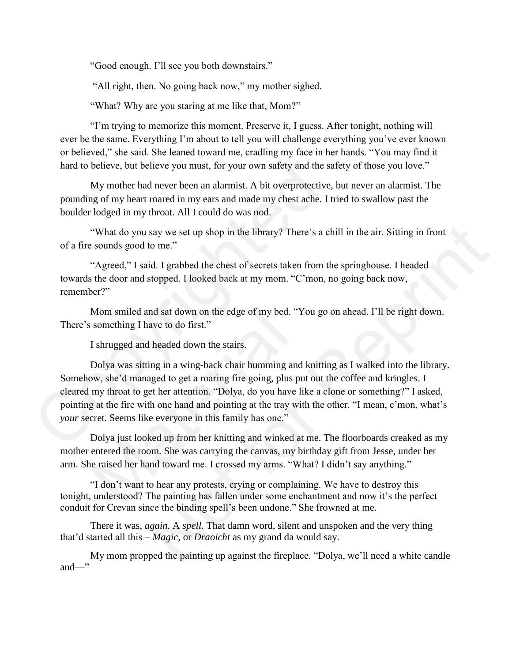"Good enough. I'll see you both downstairs."

"All right, then. No going back now," my mother sighed.

"What? Why are you staring at me like that, Mom?"

"I'm trying to memorize this moment. Preserve it, I guess. After tonight, nothing will ever be the same. Everything I'm about to tell you will challenge everything you've ever known or believed," she said. She leaned toward me, cradling my face in her hands. "You may find it hard to believe, but believe you must, for your own safety and the safety of those you love."

My mother had never been an alarmist. A bit overprotective, but never an alarmist. The pounding of my heart roared in my ears and made my chest ache. I tried to swallow past the boulder lodged in my throat. All I could do was nod.

"What do you say we set up shop in the library? There's a chill in the air. Sitting in front of a fire sounds good to me."

"Agreed," I said. I grabbed the chest of secrets taken from the springhouse. I headed towards the door and stopped. I looked back at my mom. "C'mon, no going back now, remember?"

Mom smiled and sat down on the edge of my bed. "You go on ahead. I'll be right down. There's something I have to do first."

I shrugged and headed down the stairs.

Dolya was sitting in a wing-back chair humming and knitting as I walked into the library. Somehow, she'd managed to get a roaring fire going, plus put out the coffee and kringles. I cleared my throat to get her attention. "Dolya, do you have like a clone or something?" I asked, pointing at the fire with one hand and pointing at the tray with the other. "I mean, c'mon, what's *your* secret. Seems like everyone in this family has one." hard to believe, but believe you must, for your own safety and the sa<br>My mother had never been an alarmist. A bit overprotective,<br>pounding of my heart roared in my ears and made my chest ache. I tr<br>boulder lodged in my thr Mom smiled and sat down on the edge of my bed. "Y<br>something I have to do first."<br>I shrugged and headed down the stairs.<br>Dolya was sitting in a wing-back chair humming and<br>w, she'd managed to get a roaring fire going, plus say we set up shop in the library? There's a chill in the air. Sitting in front<br>to me."<br>
id. I grabbed the chest of secrets taken from the springhouse. I headed<br>
stopped. I looked back at my mom. "C'mon, no going back now,

Dolya just looked up from her knitting and winked at me. The floorboards creaked as my mother entered the room. She was carrying the canvas, my birthday gift from Jesse, under her arm. She raised her hand toward me. I crossed my arms. "What? I didn't say anything."

"I don't want to hear any protests, crying or complaining. We have to destroy this tonight, understood? The painting has fallen under some enchantment and now it's the perfect conduit for Crevan since the binding spell's been undone." She frowned at me.

There it was, *again.* A *spell*. That damn word, silent and unspoken and the very thing that'd started all this – *Magic,* or *Draoicht* as my grand da would say.

My mom propped the painting up against the fireplace. "Dolya, we'll need a white candle and—"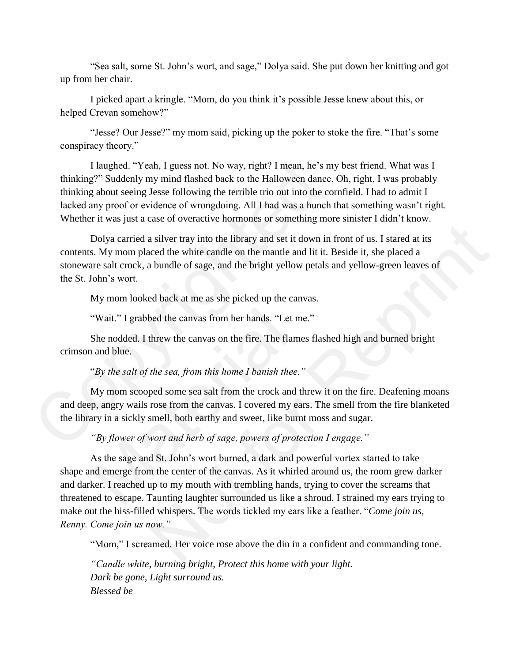"Sea salt, some St. John's wort, and sage," Dolya said. She put down her knitting and got up from her chair.

I picked apart a kringle. "Mom, do you think it's possible Jesse knew about this, or helped Crevan somehow?"

"Jesse? Our Jesse?" my mom said, picking up the poker to stoke the fire. "That's some conspiracy theory."

I laughed. "Yeah, I guess not. No way, right? I mean, he's my best friend. What was I thinking?" Suddenly my mind flashed back to the Halloween dance. Oh, right, I was probably thinking about seeing Jesse following the terrible trio out into the cornfield. I had to admit I lacked any proof or evidence of wrongdoing. All I had was a hunch that something wasn't right. Whether it was just a case of overactive hormones or something more sinister I didn't know. I laughed. "Yeah, I guess not. No way, right? I mean, he's my<br>thinking?" Suddenly my mind flashed back to the Halloween dance.<br>thinking about seeing Jesse following the terrible trio out into the con-<br>lacked any proof or

Dolya carried a silver tray into the library and set it down in front of us. I stared at its contents. My mom placed the white candle on the mantle and lit it. Beside it, she placed a stoneware salt crock, a bundle of sage, and the bright yellow petals and yellow-green leaves of the St. John's wort.

My mom looked back at me as she picked up the canvas.

"Wait." I grabbed the canvas from her hands. "Let me."

She nodded. I threw the canvas on the fire. The flames flashed high and burned bright crimson and blue.

"*By the salt of the sea, from this home I banish thee."* 

My mom scooped some sea salt from the crock and threw it on the fire. Deafening moans and deep, angry wails rose from the canvas. I covered my ears. The smell from the fire blanketed the library in a sickly smell, both earthy and sweet, like burnt moss and sugar.

*"By flower of wort and herb of sage, powers of protection I engage."* 

As the sage and St. John's wort burned, a dark and powerful vortex started to take shape and emerge from the center of the canvas. As it whirled around us, the room grew darker and darker. I reached up to my mouth with trembling hands, trying to cover the screams that threatened to escape. Taunting laughter surrounded us like a shroud. I strained my ears trying to make out the hiss-filled whispers. The words tickled my ears like a feather. "*Come join us, Renny. Come join us now."*  "Wait." I grabbed the canvas from her hands. "Let me<br>She nodded. I threw the canvas on the fire. The flame<br>and blue.<br>"By the salt of the sea, from this home I banish thee."<br>My mom scooped some sea salt from the crock and Example 12 and the third was the divided and the state of the state of the state of the state of the tray into the library and set it down in front of us. I stared at its sized at its sized a bundle of sage, and the brigh

"Mom," I screamed. Her voice rose above the din in a confident and commanding tone.

*"Candle white, burning bright, Protect this home with your light. Dark be gone, Light surround us. Blessed be*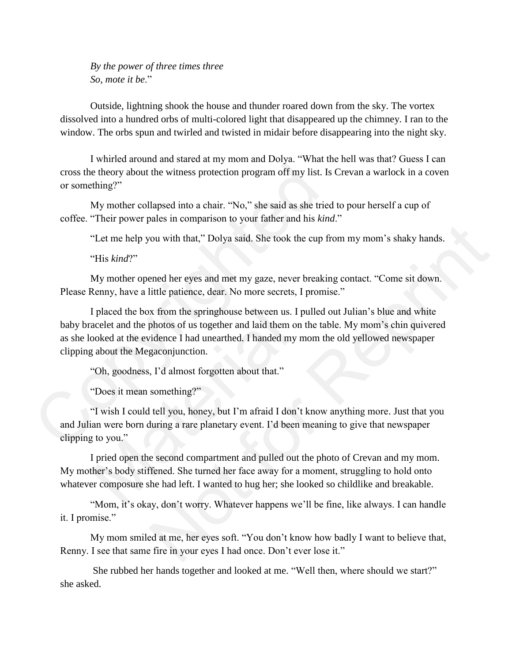*By the power of three times three So, mote it be*."

Outside, lightning shook the house and thunder roared down from the sky. The vortex dissolved into a hundred orbs of multi-colored light that disappeared up the chimney. I ran to the window. The orbs spun and twirled and twisted in midair before disappearing into the night sky.

I whirled around and stared at my mom and Dolya. "What the hell was that? Guess I can cross the theory about the witness protection program off my list. Is Crevan a warlock in a coven or something?"

My mother collapsed into a chair. "No," she said as she tried to pour herself a cup of coffee. "Their power pales in comparison to your father and his *kind*."

"Let me help you with that," Dolya said. She took the cup from my mom's shaky hands.

"His *kind*?"

My mother opened her eyes and met my gaze, never breaking contact. "Come sit down. Please Renny, have a little patience, dear. No more secrets, I promise."

I placed the box from the springhouse between us. I pulled out Julian's blue and white baby bracelet and the photos of us together and laid them on the table. My mom's chin quivered as she looked at the evidence I had unearthed. I handed my mom the old yellowed newspaper clipping about the Megaconjunction. cross the theory about the witness protection program off my list. Is or something?"<br>
My mother collapsed into a chair. "No," she said as she tried<br>
coffee. "Their power pales in comparison to your father and his *kind*." I placed the box from the springhouse between us. I p<br>acelet and the photos of us together and laid them on i<br>ooked at the evidence I had unearthed. I handed my m<br>about the Megaconjunction.<br>"Oh, goodness, I'd almost forgot The and that," Dolya said. She took the eup from my mom's shaky hands.<br>
She tou with that," Dolya said. She took the eup from my mom's shaky hands.<br>
First the patience, dear. No more secrets, I promise."<br>
A from the spring

"Oh, goodness, I'd almost forgotten about that."

"Does it mean something?"

"I wish I could tell you, honey, but I'm afraid I don't know anything more. Just that you and Julian were born during a rare planetary event. I'd been meaning to give that newspaper clipping to you."

I pried open the second compartment and pulled out the photo of Crevan and my mom. My mother's body stiffened. She turned her face away for a moment, struggling to hold onto whatever composure she had left. I wanted to hug her; she looked so childlike and breakable.

"Mom, it's okay, don't worry. Whatever happens we'll be fine, like always. I can handle it. I promise."

My mom smiled at me, her eyes soft. "You don't know how badly I want to believe that, Renny. I see that same fire in your eyes I had once. Don't ever lose it."

She rubbed her hands together and looked at me. "Well then, where should we start?" she asked.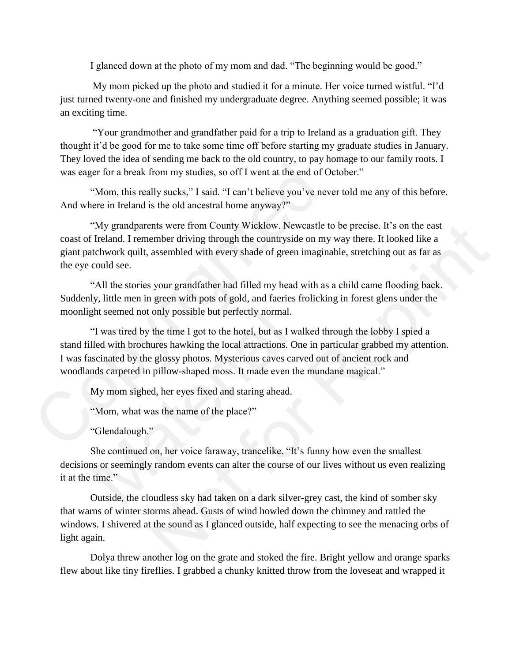I glanced down at the photo of my mom and dad. "The beginning would be good."

My mom picked up the photo and studied it for a minute. Her voice turned wistful. "I'd just turned twenty-one and finished my undergraduate degree. Anything seemed possible; it was an exciting time.

"Your grandmother and grandfather paid for a trip to Ireland as a graduation gift. They thought it'd be good for me to take some time off before starting my graduate studies in January. They loved the idea of sending me back to the old country, to pay homage to our family roots. I was eager for a break from my studies, so off I went at the end of October."

"Mom, this really sucks," I said. "I can't believe you've never told me any of this before. And where in Ireland is the old ancestral home anyway?"

"My grandparents were from County Wicklow. Newcastle to be precise. It's on the east coast of Ireland. I remember driving through the countryside on my way there. It looked like a giant patchwork quilt, assembled with every shade of green imaginable, stretching out as far as the eye could see.

"All the stories your grandfather had filled my head with as a child came flooding back. Suddenly, little men in green with pots of gold, and faeries frolicking in forest glens under the moonlight seemed not only possible but perfectly normal.

"I was tired by the time I got to the hotel, but as I walked through the lobby I spied a stand filled with brochures hawking the local attractions. One in particular grabbed my attention. I was fascinated by the glossy photos. Mysterious caves carved out of ancient rock and woodlands carpeted in pillow-shaped moss. It made even the mundane magical." was eager for a break from my studies, so off I went at the end of Oc<br>
"Mom, this really sucks," I said. "I can't believe you've neve<br>
And where in Ireland is the old ancestral home anyway?"<br>
"Wy grandparents were from Cou ght seemed not only possible but perfectly normal.<br>
"I was tired by the time I got to the hotel, but as I wall<br>
lled with brochures hawking the local attractions. One<br>
scinated by the glossy photos. Mysterious caves carve<br> this were from Countly Wicklow. Newcastle to be precise. It's on the cast<br>ember driving through the countryside on my way there. It looked like a<br>sasembled with every shade of green imaginable, stretching out as far as<br>syo

My mom sighed, her eyes fixed and staring ahead.

"Mom, what was the name of the place?"

"Glendalough."

She continued on, her voice faraway, trancelike. "It's funny how even the smallest decisions or seemingly random events can alter the course of our lives without us even realizing it at the time."

Outside, the cloudless sky had taken on a dark silver-grey cast, the kind of somber sky that warns of winter storms ahead. Gusts of wind howled down the chimney and rattled the windows. I shivered at the sound as I glanced outside, half expecting to see the menacing orbs of light again.

Dolya threw another log on the grate and stoked the fire. Bright yellow and orange sparks flew about like tiny fireflies. I grabbed a chunky knitted throw from the loveseat and wrapped it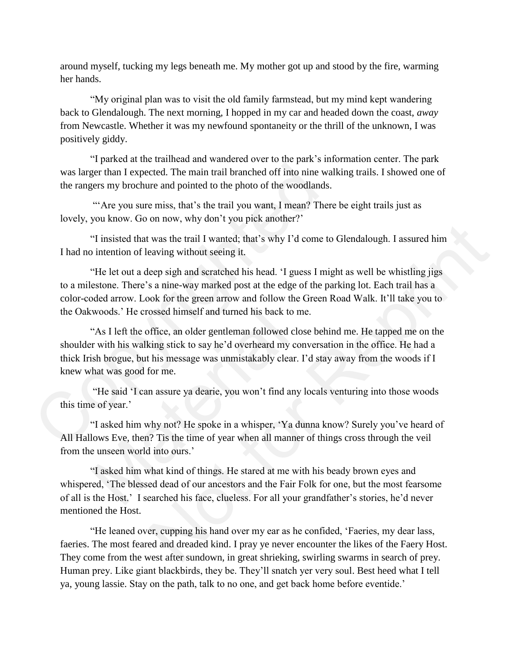around myself, tucking my legs beneath me. My mother got up and stood by the fire, warming her hands.

"My original plan was to visit the old family farmstead, but my mind kept wandering back to Glendalough. The next morning, I hopped in my car and headed down the coast, *away* from Newcastle. Whether it was my newfound spontaneity or the thrill of the unknown, I was positively giddy.

"I parked at the trailhead and wandered over to the park's information center. The park was larger than I expected. The main trail branched off into nine walking trails. I showed one of the rangers my brochure and pointed to the photo of the woodlands.

"'Are you sure miss, that's the trail you want, I mean? There be eight trails just as lovely, you know. Go on now, why don't you pick another?'

"I insisted that was the trail I wanted; that's why I'd come to Glendalough. I assured him I had no intention of leaving without seeing it.

"He let out a deep sigh and scratched his head. 'I guess I might as well be whistling jigs to a milestone. There's a nine-way marked post at the edge of the parking lot. Each trail has a color-coded arrow. Look for the green arrow and follow the Green Road Walk. It'll take you to the Oakwoods.' He crossed himself and turned his back to me.

"As I left the office, an older gentleman followed close behind me. He tapped me on the shoulder with his walking stick to say he'd overheard my conversation in the office. He had a thick Irish brogue, but his message was unmistakably clear. I'd stay away from the woods if I knew what was good for me. was larger than I expected. The main trail branched off into nine wal<br>the rangers my brochure and pointed to the photo of the woodlands.<br>"Are you sure miss, that's the trail you want, I mean? There<br>lovely, you know. Go on woods.' He crossed himself and turned his back to m<br>
"As I left the office, an older gentleman followed clos<br>
r with his walking stick to say he'd overheard my con<br>
sh brogue, but his message was unmistakably clear. I<br>
hat was the trail I wanted; that's why I'd come to Glendalough. I assured him<br>eaving without seeing it.<br>eep sigh and scratched his head. 'I guess I might as well be whistling jigs<br>s a nine-way marked post at the edge of the pa

"He said 'I can assure ya dearie, you won't find any locals venturing into those woods this time of year.'

"I asked him why not? He spoke in a whisper, 'Ya dunna know? Surely you've heard of All Hallows Eve, then? Tis the time of year when all manner of things cross through the veil from the unseen world into ours.'

"I asked him what kind of things. He stared at me with his beady brown eyes and whispered, 'The blessed dead of our ancestors and the Fair Folk for one, but the most fearsome of all is the Host.' I searched his face, clueless. For all your grandfather's stories, he'd never mentioned the Host.

"He leaned over, cupping his hand over my ear as he confided, 'Faeries, my dear lass, faeries. The most feared and dreaded kind. I pray ye never encounter the likes of the Faery Host. They come from the west after sundown, in great shrieking, swirling swarms in search of prey. Human prey. Like giant blackbirds, they be. They'll snatch yer very soul. Best heed what I tell ya, young lassie. Stay on the path, talk to no one, and get back home before eventide.'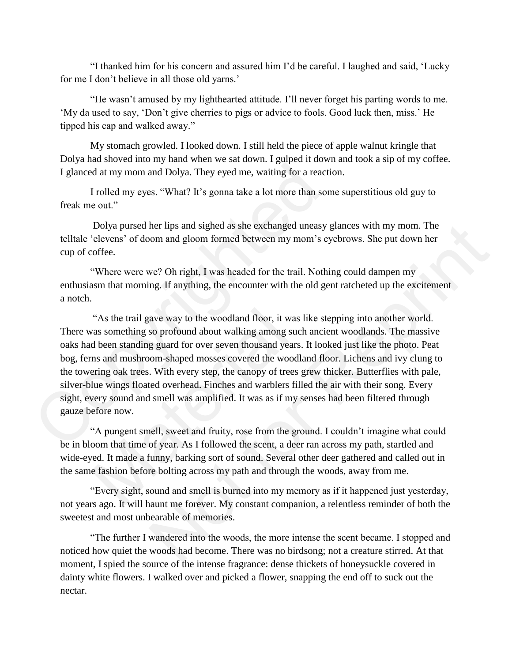"I thanked him for his concern and assured him I'd be careful. I laughed and said, 'Lucky for me I don't believe in all those old yarns.'

"He wasn't amused by my lighthearted attitude. I'll never forget his parting words to me. 'My da used to say, 'Don't give cherries to pigs or advice to fools. Good luck then, miss.' He tipped his cap and walked away."

My stomach growled. I looked down. I still held the piece of apple walnut kringle that Dolya had shoved into my hand when we sat down. I gulped it down and took a sip of my coffee. I glanced at my mom and Dolya. They eyed me, waiting for a reaction.

I rolled my eyes. "What? It's gonna take a lot more than some superstitious old guy to freak me out."

Dolya pursed her lips and sighed as she exchanged uneasy glances with my mom. The telltale 'elevens' of doom and gloom formed between my mom's eyebrows. She put down her cup of coffee.

"Where were we? Oh right, I was headed for the trail. Nothing could dampen my enthusiasm that morning. If anything, the encounter with the old gent ratcheted up the excitement a notch.

"As the trail gave way to the woodland floor, it was like stepping into another world. There was something so profound about walking among such ancient woodlands. The massive oaks had been standing guard for over seven thousand years. It looked just like the photo. Peat bog, ferns and mushroom-shaped mosses covered the woodland floor. Lichens and ivy clung to the towering oak trees. With every step, the canopy of trees grew thicker. Butterflies with pale, silver-blue wings floated overhead. Finches and warblers filled the air with their song. Every sight, every sound and smell was amplified. It was as if my senses had been filtered through gauze before now. I glanced at my mom and Dolya. They eyed me, waiting for a reaction<br>I glanced at my mom and Dolya. They eyed me, waiting for a reaction<br>I rolled my eyes. "What? It's gonna take a lot more than some<br>freak me out."<br>Dolya pur "As the trail gave way to the woodland floor, it was l<br>
"As something so profound about walking among such<br>
d been standing guard for over seven thousand years.<br>
ms and mushroom-shaped mosses covered the woodla<br>
ering oak ther lips and sighed as she exchanged uneasy glances with my mom. The<br>om and gloom formed between my mom's eyebrows. She put down her<br>we? Oh right, I was headed for the trail. Nothing could dampen my<br>ng. If anything, the e

"A pungent smell, sweet and fruity, rose from the ground. I couldn't imagine what could be in bloom that time of year. As I followed the scent, a deer ran across my path, startled and wide-eyed. It made a funny, barking sort of sound. Several other deer gathered and called out in the same fashion before bolting across my path and through the woods, away from me.

"Every sight, sound and smell is burned into my memory as if it happened just yesterday, not years ago. It will haunt me forever. My constant companion, a relentless reminder of both the sweetest and most unbearable of memories.

"The further I wandered into the woods, the more intense the scent became. I stopped and noticed how quiet the woods had become. There was no birdsong; not a creature stirred. At that moment, I spied the source of the intense fragrance: dense thickets of honeysuckle covered in dainty white flowers. I walked over and picked a flower, snapping the end off to suck out the nectar.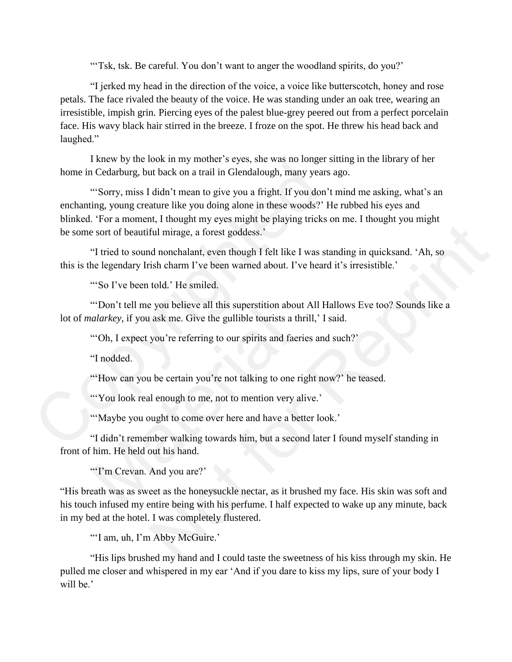"Tsk, tsk. Be careful. You don't want to anger the woodland spirits, do you?'

"I jerked my head in the direction of the voice, a voice like butterscotch, honey and rose petals. The face rivaled the beauty of the voice. He was standing under an oak tree, wearing an irresistible, impish grin. Piercing eyes of the palest blue-grey peered out from a perfect porcelain face. His wavy black hair stirred in the breeze. I froze on the spot. He threw his head back and laughed."

I knew by the look in my mother's eyes, she was no longer sitting in the library of her home in Cedarburg, but back on a trail in Glendalough, many years ago.

"'Sorry, miss I didn't mean to give you a fright. If you don't mind me asking, what's an enchanting, young creature like you doing alone in these woods?' He rubbed his eyes and blinked. 'For a moment, I thought my eyes might be playing tricks on me. I thought you might be some sort of beautiful mirage, a forest goddess.' home in Cedarbury, but back on a trail in Glendalough, many years a<br>
"Sorry, miss I didn't mean to give you a fright. If you don't<br>
enchanting, young creature like you doing alone in these woods?' He<br>
blinked. 'For a momen

"I tried to sound nonchalant, even though I felt like I was standing in quicksand. 'Ah, so this is the legendary Irish charm I've been warned about. I've heard it's irresistible.'

"So I've been told.' He smiled.

"'Don't tell me you believe all this superstition about All Hallows Eve too? Sounds like a lot of *malarkey,* if you ask me. Give the gullible tourists a thrill,' I said.

"Oh, I expect you're referring to our spirits and faeries and such?'

"I nodded.

"'How can you be certain you're not talking to one right now?' he teased.

"You look real enough to me, not to mention very alive."

"'Maybe you ought to come over here and have a better look.'

"I didn't remember walking towards him, but a second later I found myself standing in front of him. He held out his hand. Level in the search of the proposition about<br>alarkey, if you ask me. Give the gullible tourists a thr<br>"Oh, I expect you're referring to our spirits and faerie"<br>I nodded.<br>"How can you be certain you're not talking to one ri

"'I'm Crevan. And you are?'

"His breath was as sweet as the honeysuckle nectar, as it brushed my face. His skin was soft and his touch infused my entire being with his perfume. I half expected to wake up any minute, back in my bed at the hotel. I was completely flustered. The mington and the state of the state of the state of the state of the state of the state of the state of the state of the state of the state of the state of the state of the state of the state of the state of the state o

"'I am, uh, I'm Abby McGuire.'

"His lips brushed my hand and I could taste the sweetness of his kiss through my skin. He pulled me closer and whispered in my ear 'And if you dare to kiss my lips, sure of your body I will be.'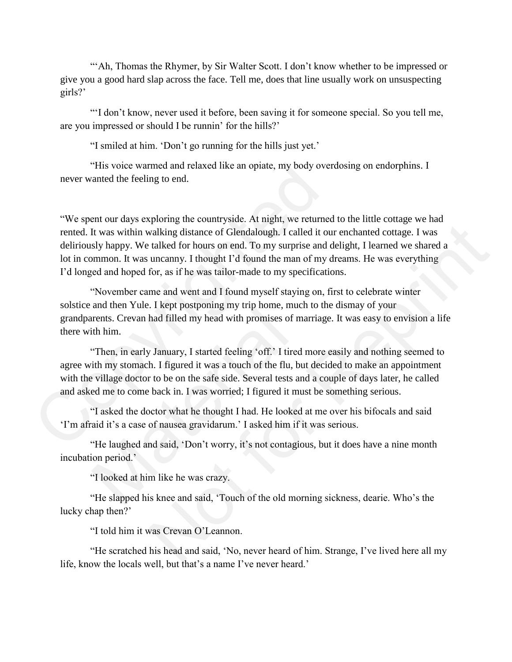"'Ah, Thomas the Rhymer, by Sir Walter Scott. I don't know whether to be impressed or give you a good hard slap across the face. Tell me, does that line usually work on unsuspecting girls?'

"'I don't know, never used it before, been saving it for someone special. So you tell me, are you impressed or should I be runnin' for the hills?'

"I smiled at him. 'Don't go running for the hills just yet.'

"His voice warmed and relaxed like an opiate, my body overdosing on endorphins. I never wanted the feeling to end.

"We spent our days exploring the countryside. At night, we returned to the little cottage we had rented. It was within walking distance of Glendalough. I called it our enchanted cottage. I was deliriously happy. We talked for hours on end. To my surprise and delight, I learned we shared a lot in common. It was uncanny. I thought I'd found the man of my dreams. He was everything I'd longed and hoped for, as if he was tailor-made to my specifications. "His voice warmed and relaxed like an opiate, my body over<br>never wanted the feeling to end.<br>"We spent our days exploring the countryside. At night, we returned<br>rented. It was within walking distance of Glendalough. I calle planting distance of Glendalough. I called it our enchanted octuge. I was<br>valking distance of Glendalough. I called it our enchanted cottage. I was<br>talked for hours on end. To my surprise and delight, I learned we shared a

"November came and went and I found myself staying on, first to celebrate winter solstice and then Yule. I kept postponing my trip home, much to the dismay of your grandparents. Crevan had filled my head with promises of marriage. It was easy to envision a life there with him.

"Then, in early January, I started feeling 'off.' I tired more easily and nothing seemed to agree with my stomach. I figured it was a touch of the flu, but decided to make an appointment with the village doctor to be on the safe side. Several tests and a couple of days later, he called and asked me to come back in. I was worried; I figured it must be something serious. and and Tale. The peological my alphome, machines. Crevan had filled my head with promises of math him.<br>
"Then, in early January, I started feeling 'off.' I tired ith my stomach. I figured it was a touch of the flu, bue vi

"I asked the doctor what he thought I had. He looked at me over his bifocals and said 'I'm afraid it's a case of nausea gravidarum.' I asked him if it was serious.

"He laughed and said, 'Don't worry, it's not contagious, but it does have a nine month incubation period.'

"I looked at him like he was crazy.

"He slapped his knee and said, 'Touch of the old morning sickness, dearie. Who's the lucky chap then?'

"I told him it was Crevan O'Leannon.

"He scratched his head and said, 'No, never heard of him. Strange, I've lived here all my life, know the locals well, but that's a name I've never heard.'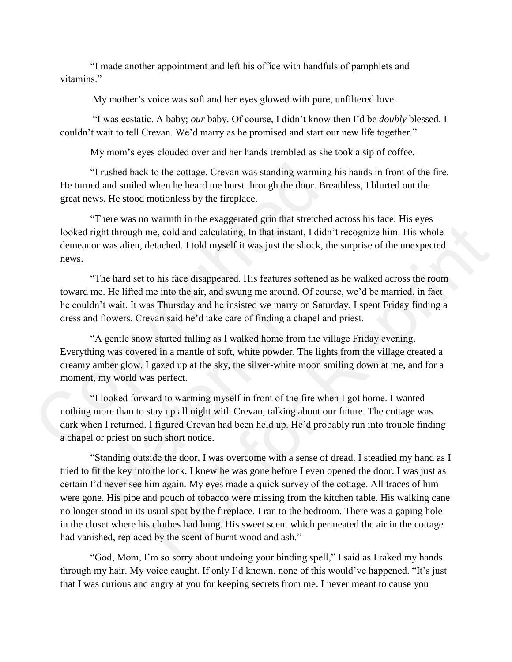"I made another appointment and left his office with handfuls of pamphlets and vitamins."

My mother's voice was soft and her eyes glowed with pure, unfiltered love.

"I was ecstatic. A baby; *our* baby. Of course, I didn't know then I'd be *doubly* blessed. I couldn't wait to tell Crevan. We'd marry as he promised and start our new life together."

My mom's eyes clouded over and her hands trembled as she took a sip of coffee.

"I rushed back to the cottage. Crevan was standing warming his hands in front of the fire. He turned and smiled when he heard me burst through the door. Breathless, I blurted out the great news. He stood motionless by the fireplace.

"There was no warmth in the exaggerated grin that stretched across his face. His eyes looked right through me, cold and calculating. In that instant, I didn't recognize him. His whole demeanor was alien, detached. I told myself it was just the shock, the surprise of the unexpected news.

"The hard set to his face disappeared. His features softened as he walked across the room toward me. He lifted me into the air, and swung me around. Of course, we'd be married, in fact he couldn't wait. It was Thursday and he insisted we marry on Saturday. I spent Friday finding a dress and flowers. Crevan said he'd take care of finding a chapel and priest.

"A gentle snow started falling as I walked home from the village Friday evening. Everything was covered in a mantle of soft, white powder. The lights from the village created a dreamy amber glow. I gazed up at the sky, the silver-white moon smiling down at me, and for a moment, my world was perfect.

"I looked forward to warming myself in front of the fire when I got home. I wanted nothing more than to stay up all night with Crevan, talking about our future. The cottage was dark when I returned. I figured Crevan had been held up. He'd probably run into trouble finding a chapel or priest on such short notice. <sup>41</sup> I ushed back to the cottage. Crevan was standing warming He turned and smiled when he heard me burst through the door. Bready requent news. He stood motionless by the fireplace.<br>
"There was no warmth in the exaggerat

"Standing outside the door, I was overcome with a sense of dread. I steadied my hand as I tried to fit the key into the lock. I knew he was gone before I even opened the door. I was just as certain I'd never see him again. My eyes made a quick survey of the cottage. All traces of him were gone. His pipe and pouch of tobacco were missing from the kitchen table. His walking cane no longer stood in its usual spot by the fireplace. I ran to the bedroom. There was a gaping hole in the closet where his clothes had hung. His sweet scent which permeated the air in the cottage had vanished, replaced by the scent of burnt wood and ash." and the matrix was Transacty and the instructed we many of the divers. Crevan said he'd take care of finding a change "A gentle snow started falling as I walked home from ting was covered in a mantle of soft, white powder. me, cold and calculating. In that instant, I didn't recognize him. His whole etached. I told myself it was just the shock, the surprise of the unexpected o his face disappeared. His features softened as he walked across th

"God, Mom, I'm so sorry about undoing your binding spell," I said as I raked my hands through my hair. My voice caught. If only I'd known, none of this would've happened. "It's just that I was curious and angry at you for keeping secrets from me. I never meant to cause you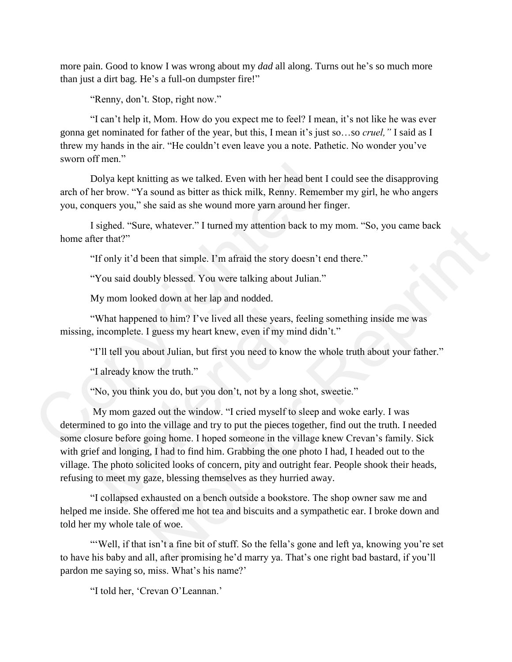more pain. Good to know I was wrong about my *dad* all along. Turns out he's so much more than just a dirt bag. He's a full-on dumpster fire!"

"Renny, don't. Stop, right now."

"I can't help it, Mom. How do you expect me to feel? I mean, it's not like he was ever gonna get nominated for father of the year, but this, I mean it's just so…so *cruel,"* I said as I threw my hands in the air. "He couldn't even leave you a note. Pathetic. No wonder you've sworn off men."

Dolya kept knitting as we talked. Even with her head bent I could see the disapproving arch of her brow. "Ya sound as bitter as thick milk, Renny. Remember my girl, he who angers you, conquers you," she said as she wound more yarn around her finger.

I sighed. "Sure, whatever." I turned my attention back to my mom. "So, you came back home after that?"

"If only it'd been that simple. I'm afraid the story doesn't end there."

"You said doubly blessed. You were talking about Julian."

My mom looked down at her lap and nodded.

"What happened to him? I've lived all these years, feeling something inside me was missing, incomplete. I guess my heart knew, even if my mind didn't."

"I'll tell you about Julian, but first you need to know the whole truth about your father."

"I already know the truth."

"No, you think you do, but you don't, not by a long shot, sweetie."

My mom gazed out the window. "I cried myself to sleep and woke early. I was determined to go into the village and try to put the pieces together, find out the truth. I needed some closure before going home. I hoped someone in the village knew Crevan's family. Sick with grief and longing, I had to find him. Grabbing the one photo I had, I headed out to the village. The photo solicited looks of concern, pity and outright fear. People shook their heads, refusing to meet my gaze, blessing themselves as they hurried away. Dolya kept knitting as we talked. Even with her head bent I c<br>arch her brow. "Ya sound as bitter as thick milk, Renny. Rememb<br>you, conquers you," she said as she wound more yarn around her fing<br>I sighted. "Sure, whatever." "What happened to him? I've lived all these years, fee, incomplete. I guess my heart knew, even if my mind<br>"I'll tell you about Julian, but first you need to know t<br>"I already know the truth."<br>"No, you think you do, but yo i, whatever." I turned my attention back to my mom. "So, you came back<br>
een that simple. I'm afraid the story doesn't end there."<br>
bly blessed. You were talking about Julian."<br>
ed down at her lap and nodded.<br>
and the him?

"I collapsed exhausted on a bench outside a bookstore. The shop owner saw me and helped me inside. She offered me hot tea and biscuits and a sympathetic ear. I broke down and told her my whole tale of woe.

"Well, if that isn't a fine bit of stuff. So the fella's gone and left ya, knowing you're set to have his baby and all, after promising he'd marry ya. That's one right bad bastard, if you'll pardon me saying so, miss. What's his name?'

"I told her, 'Crevan O'Leannan.'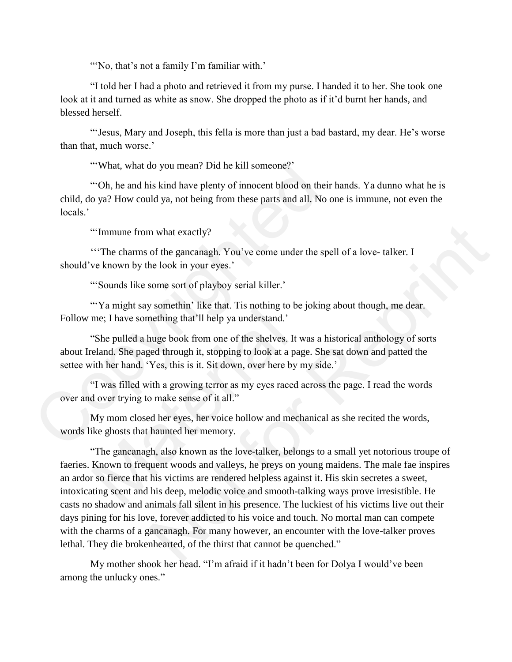"'No, that's not a family I'm familiar with.'

"I told her I had a photo and retrieved it from my purse. I handed it to her. She took one look at it and turned as white as snow. She dropped the photo as if it'd burnt her hands, and blessed herself.

"'Jesus, Mary and Joseph, this fella is more than just a bad bastard, my dear. He's worse than that, much worse.'

"'What, what do you mean? Did he kill someone?'

"'Oh, he and his kind have plenty of innocent blood on their hands. Ya dunno what he is child, do ya? How could ya, not being from these parts and all. No one is immune, not even the locals.'

"'Immune from what exactly?

'''The charms of the gancanagh. You've come under the spell of a love- talker. I should've known by the look in your eyes.'

"'Sounds like some sort of playboy serial killer.'

"Ya might say somethin' like that. Tis nothing to be joking about though, me dear. Follow me; I have something that'll help ya understand.'

"She pulled a huge book from one of the shelves. It was a historical anthology of sorts about Ireland. She paged through it, stopping to look at a page. She sat down and patted the settee with her hand. 'Yes, this is it. Sit down, over here by my side.' "What, what do you mean? Did he kill someone?"<br>
"Oh, he and his kind have plenty of innocent blood on their child, do ya? How could ya, not being from these parts and all. No or locals."<br>
"Immune from what exactly?<br>
"The c

"I was filled with a growing terror as my eyes raced across the page. I read the words over and over trying to make sense of it all."

My mom closed her eyes, her voice hollow and mechanical as she recited the words, words like ghosts that haunted her memory.

"The gancanagh, also known as the love-talker, belongs to a small yet notorious troupe of faeries. Known to frequent woods and valleys, he preys on young maidens. The male fae inspires an ardor so fierce that his victims are rendered helpless against it. His skin secretes a sweet, intoxicating scent and his deep, melodic voice and smooth-talking ways prove irresistible. He casts no shadow and animals fall silent in his presence. The luckiest of his victims live out their days pining for his love, forever addicted to his voice and touch. No mortal man can compete with the charms of a gancanagh. For many however, an encounter with the love-talker proves lethal. They die brokenhearted, of the thirst that cannot be quenched." The might say sentemn and that at the health of the source. I have something that'll help ya understand.'<br>"She pulled a huge book from one of the shelves. It weland. She paged through it, stopping to look at a pag<br>vith her m what exactly?<br>
of the gancanagh. You've come under the spell of a love- talker. I<br>
he look in your eyes.'<br>
some sort of playboy scrial killcr.'<br>
some sort of playboy scrial killcr.'<br>
somethin' like that. Tis nothing to b

My mother shook her head. "I'm afraid if it hadn't been for Dolya I would've been among the unlucky ones."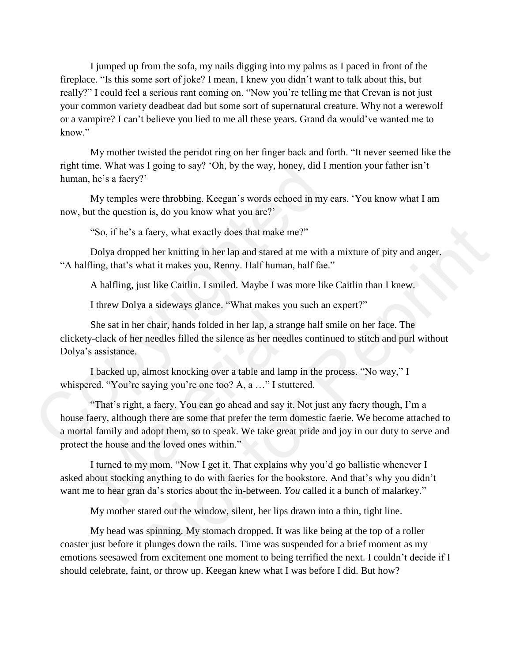I jumped up from the sofa, my nails digging into my palms as I paced in front of the fireplace. "Is this some sort of joke? I mean, I knew you didn't want to talk about this, but really?" I could feel a serious rant coming on. "Now you're telling me that Crevan is not just your common variety deadbeat dad but some sort of supernatural creature. Why not a werewolf or a vampire? I can't believe you lied to me all these years. Grand da would've wanted me to know."

My mother twisted the peridot ring on her finger back and forth. "It never seemed like the right time. What was I going to say? 'Oh, by the way, honey, did I mention your father isn't human, he's a faery?'

My temples were throbbing. Keegan's words echoed in my ears. 'You know what I am now, but the question is, do you know what you are?'

"So, if he's a faery, what exactly does that make me?"

Dolya dropped her knitting in her lap and stared at me with a mixture of pity and anger. "A halfling, that's what it makes you, Renny. Half human, half fae."

A halfling, just like Caitlin. I smiled. Maybe I was more like Caitlin than I knew.

I threw Dolya a sideways glance. "What makes you such an expert?"

She sat in her chair, hands folded in her lap, a strange half smile on her face. The clickety-clack of her needles filled the silence as her needles continued to stitch and purl without Dolya's assistance.

I backed up, almost knocking over a table and lamp in the process. "No way," I whispered. "You're saying you're one too? A, a …" I stuttered.

"That's right, a faery. You can go ahead and say it. Not just any faery though, I'm a house faery, although there are some that prefer the term domestic faerie. We become attached to a mortal family and adopt them, so to speak. We take great pride and joy in our duty to serve and protect the house and the loved ones within." right time. What was I going to say? 'Oh, by the way, honey, did I m<br>human, he's a facry?'<br>My temples were throbbing. Keegan's words echoed in my ei<br>now, but the question is, do you know what you are?'<br>"So, if he's a facr She sat in her chair, hands folded in her lap, a strange-clack of her needles filled the silence as her needles assistance.<br>I backed up, almost knocking over a table and lamp in the matching over a table and lamp in the "Y aery, what exactly does that make me?"<br>
ther knitting in her lap and stared at me with a mixture of pity and anger.<br>
at it makes you, Renny. Half human, half fac."<br>
thike Caitlin. I smiled. Maybe I was more like Caitlin th

I turned to my mom. "Now I get it. That explains why you'd go ballistic whenever I asked about stocking anything to do with faeries for the bookstore. And that's why you didn't want me to hear gran da's stories about the in-between. *You* called it a bunch of malarkey."

My mother stared out the window, silent, her lips drawn into a thin, tight line.

My head was spinning. My stomach dropped. It was like being at the top of a roller coaster just before it plunges down the rails. Time was suspended for a brief moment as my emotions seesawed from excitement one moment to being terrified the next. I couldn't decide if I should celebrate, faint, or throw up. Keegan knew what I was before I did. But how?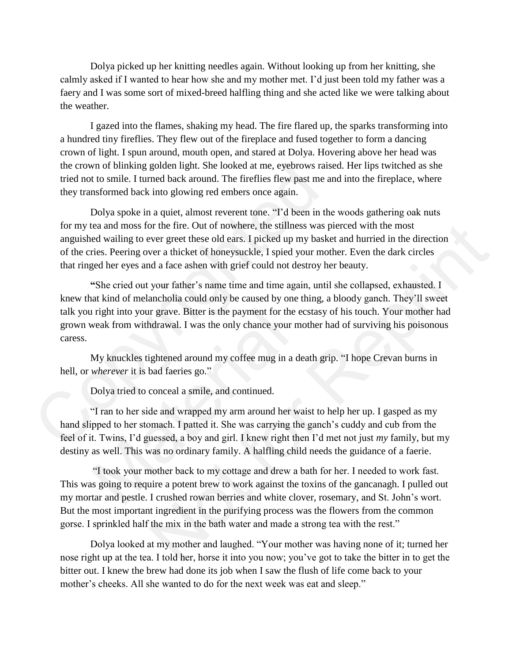Dolya picked up her knitting needles again. Without looking up from her knitting, she calmly asked if I wanted to hear how she and my mother met. I'd just been told my father was a faery and I was some sort of mixed-breed halfling thing and she acted like we were talking about the weather.

I gazed into the flames, shaking my head. The fire flared up, the sparks transforming into a hundred tiny fireflies. They flew out of the fireplace and fused together to form a dancing crown of light. I spun around, mouth open, and stared at Dolya. Hovering above her head was the crown of blinking golden light. She looked at me, eyebrows raised. Her lips twitched as she tried not to smile. I turned back around. The fireflies flew past me and into the fireplace, where they transformed back into glowing red embers once again.

Dolya spoke in a quiet, almost reverent tone. "I'd been in the woods gathering oak nuts for my tea and moss for the fire. Out of nowhere, the stillness was pierced with the most anguished wailing to ever greet these old ears. I picked up my basket and hurried in the direction of the cries. Peering over a thicket of honeysuckle, I spied your mother. Even the dark circles that ringed her eyes and a face ashen with grief could not destroy her beauty.

**"**She cried out your father's name time and time again, until she collapsed, exhausted. I knew that kind of melancholia could only be caused by one thing, a bloody ganch. They'll sweet talk you right into your grave. Bitter is the payment for the ecstasy of his touch. Your mother had grown weak from withdrawal. I was the only chance your mother had of surviving his poisonous caress. the crown of blinking golden light. She looked at me, eyebrows raise<br>tried not to smile. I turned back around. The fireflies flew past me an<br>they transformed back into glowing red embers once again.<br>Dolya spoke in a quiet, or the fire. Out of nowhere, the stillness was pierced with the most<br>ver greet these old ears. I picked up my basket and hurried in the direction<br>ver a thicket of honeysuckle, 1 spied your mother. Even the dark circles<br>ver

My knuckles tightened around my coffee mug in a death grip. "I hope Crevan burns in hell, or *wherever* it is bad faeries go."

Dolya tried to conceal a smile, and continued.

"I ran to her side and wrapped my arm around her waist to help her up. I gasped as my hand slipped to her stomach. I patted it. She was carrying the ganch's cuddy and cub from the feel of it. Twins, I'd guessed, a boy and girl. I knew right then I'd met not just *my* family, but my destiny as well. This was no ordinary family. A halfling child needs the guidance of a faerie. I right into your grave. Bitter is the payment for the ec<br>weak from withdrawal. I was the only chance your mo<br>My knuckles tightened around my coffee mug in a de<br>wherever it is bad faeries go."<br>Dolya tried to conceal a smil

"I took your mother back to my cottage and drew a bath for her. I needed to work fast. This was going to require a potent brew to work against the toxins of the gancanagh. I pulled out my mortar and pestle. I crushed rowan berries and white clover, rosemary, and St. John's wort. But the most important ingredient in the purifying process was the flowers from the common gorse. I sprinkled half the mix in the bath water and made a strong tea with the rest."

Dolya looked at my mother and laughed. "Your mother was having none of it; turned her nose right up at the tea. I told her, horse it into you now; you've got to take the bitter in to get the bitter out. I knew the brew had done its job when I saw the flush of life come back to your mother's cheeks. All she wanted to do for the next week was eat and sleep."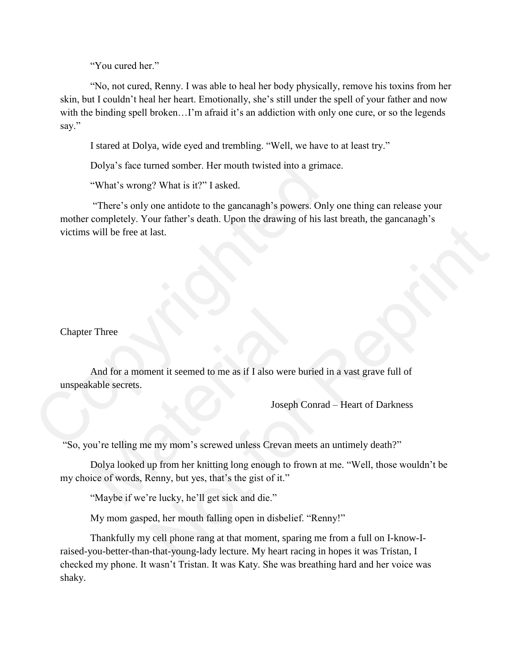"You cured her."

"No, not cured, Renny. I was able to heal her body physically, remove his toxins from her skin, but I couldn't heal her heart. Emotionally, she's still under the spell of your father and now with the binding spell broken...I'm afraid it's an addiction with only one cure, or so the legends say."

I stared at Dolya, wide eyed and trembling. "Well, we have to at least try."

Dolya's face turned somber. Her mouth twisted into a grimace.

"What's wrong? What is it?" I asked.

"There's only one antidote to the gancanagh's powers. Only one thing can release your mother completely. Your father's death. Upon the drawing of his last breath, the gancanagh's victims will be free at last. Dolya's face turned somber. Her mouth twisted into a grimac<br>
"What's wrong? What is it?" I asked.<br>
"There's only one antidote to the gancanagh's powers. Only<br>
mother completely. Your father's death. Upon the drawing of his

# Chapter Three

And for a moment it seemed to me as if I also were buried in a vast grave full of unspeakable secrets. Three<br>And for a moment it seemed to me as if I also were but<br>able secrets.<br>Joseph C<br>w're telling me my mom's screwed unless Crevan me<br>Dolya looked up from her knitting long enough to fro<br>ice of words, Renny, but yes, that'

Joseph Conrad – Heart of Darkness

"So, you're telling me my mom's screwed unless Crevan meets an untimely death?"

Dolya looked up from her knitting long enough to frown at me. "Well, those wouldn't be my choice of words, Renny, but yes, that's the gist of it."

"Maybe if we're lucky, he'll get sick and die."

My mom gasped, her mouth falling open in disbelief. "Renny!"

Thankfully my cell phone rang at that moment, sparing me from a full on I-know-Iraised-you-better-than-that-young-lady lecture. My heart racing in hopes it was Tristan, I checked my phone. It wasn't Tristan. It was Katy. She was breathing hard and her voice was shaky. National Science of the Science of the Maximum and Science of the Maximum and Science of the Maximum and the University of the Maximum and the Maximum and the Maximum and the Maximum and the Maximum and the Maximum and the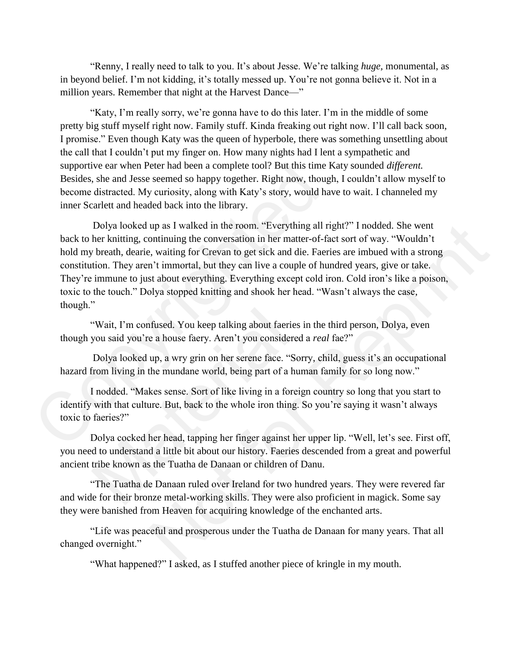"Renny, I really need to talk to you. It's about Jesse. We're talking *huge,* monumental, as in beyond belief. I'm not kidding, it's totally messed up. You're not gonna believe it. Not in a million years. Remember that night at the Harvest Dance—"

"Katy, I'm really sorry, we're gonna have to do this later. I'm in the middle of some pretty big stuff myself right now. Family stuff. Kinda freaking out right now. I'll call back soon, I promise." Even though Katy was the queen of hyperbole, there was something unsettling about the call that I couldn't put my finger on. How many nights had I lent a sympathetic and supportive ear when Peter had been a complete tool? But this time Katy sounded *different.* Besides, she and Jesse seemed so happy together. Right now, though, I couldn't allow myself to become distracted. My curiosity, along with Katy's story, would have to wait. I channeled my inner Scarlett and headed back into the library.

Dolya looked up as I walked in the room. "Everything all right?" I nodded. She went back to her knitting, continuing the conversation in her matter-of-fact sort of way. "Wouldn't hold my breath, dearie, waiting for Crevan to get sick and die. Faeries are imbued with a strong constitution. They aren't immortal, but they can live a couple of hundred years, give or take. They're immune to just about everything. Everything except cold iron. Cold iron's like a poison, toxic to the touch." Dolya stopped knitting and shook her head. "Wasn't always the case, though." supportive ear when Peter had been a complete tool? But this time K<br>Besides, she and Jesse seemed so happy together. Right now, though<br>become distracted. My curisoitty, along with Katy's story, would hav<br>inner Scarlett and up as I walked in the room. "Everything all right?" I nodded. She went<br>ontinuing the conversation in her matter-of-fact sort of way. "Wouldn't<br>e, waiting for Crevan to get sick and die. Facties or do way. "Wouldn't<br>n't imm

"Wait, I'm confused. You keep talking about faeries in the third person, Dolya, even though you said you're a house faery. Aren't you considered a *real* fae?"

Dolya looked up, a wry grin on her serene face. "Sorry, child, guess it's an occupational hazard from living in the mundane world, being part of a human family for so long now."

I nodded. "Makes sense. Sort of like living in a foreign country so long that you start to identify with that culture. But, back to the whole iron thing. So you're saying it wasn't always toxic to faeries?" "Wait, I'm confused. You keep talking about faeries i<br>you said you're a house faery. Aren't you considered<br>Dolya looked up, a wry grin on her serene face. "Sorn<br>from living in the mundane world, being part of a hun<br>I nodde

Dolya cocked her head, tapping her finger against her upper lip. "Well, let's see. First off, you need to understand a little bit about our history. Faeries descended from a great and powerful ancient tribe known as the Tuatha de Danaan or children of Danu.

"The Tuatha de Danaan ruled over Ireland for two hundred years. They were revered far and wide for their bronze metal-working skills. They were also proficient in magick. Some say they were banished from Heaven for acquiring knowledge of the enchanted arts.

"Life was peaceful and prosperous under the Tuatha de Danaan for many years. That all changed overnight."

"What happened?" I asked, as I stuffed another piece of kringle in my mouth.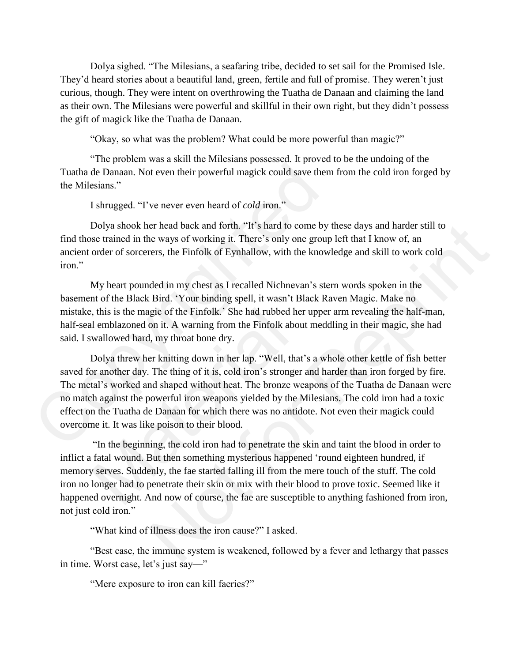Dolya sighed. "The Milesians, a seafaring tribe, decided to set sail for the Promised Isle. They'd heard stories about a beautiful land, green, fertile and full of promise. They weren't just curious, though. They were intent on overthrowing the Tuatha de Danaan and claiming the land as their own. The Milesians were powerful and skillful in their own right, but they didn't possess the gift of magick like the Tuatha de Danaan.

"Okay, so what was the problem? What could be more powerful than magic?"

"The problem was a skill the Milesians possessed. It proved to be the undoing of the Tuatha de Danaan. Not even their powerful magick could save them from the cold iron forged by the Milesians."

I shrugged. "I've never even heard of *cold* iron."

Dolya shook her head back and forth. "It's hard to come by these days and harder still to find those trained in the ways of working it. There's only one group left that I know of, an ancient order of sorcerers, the Finfolk of Eynhallow, with the knowledge and skill to work cold iron."

My heart pounded in my chest as I recalled Nichnevan's stern words spoken in the basement of the Black Bird. 'Your binding spell, it wasn't Black Raven Magic. Make no mistake, this is the magic of the Finfolk.' She had rubbed her upper arm revealing the half-man, half-seal emblazoned on it. A warning from the Finfolk about meddling in their magic, she had said. I swallowed hard, my throat bone dry.

Dolya threw her knitting down in her lap. "Well, that's a whole other kettle of fish better saved for another day. The thing of it is, cold iron's stronger and harder than iron forged by fire. The metal's worked and shaped without heat. The bronze weapons of the Tuatha de Danaan were no match against the powerful iron weapons yielded by the Milesians. The cold iron had a toxic effect on the Tuatha de Danaan for which there was no antidote. Not even their magick could overcome it. It was like poison to their blood. Tuatha de Danaan. Not even their powerful magick could save them<br>the Milesians."<br>I shrugged. "I've never even heard of *cold* iron."<br>Dolya shook her head back and forth. "It's hard to come by t<br>find those trained in the w , this is the magic of the Finfolk.' She had rubbed her al emblazoned on it. A warning from the Finfolk about wallowed hard, my throat bone dry.<br>Dolya threw her knitting down in her lap. "Well, that' or another day. The th er head back and forth. "It's hard to come by these days and harder still to<br>e ways of working it. There's only one group left that I know of, an<br>ers, the Finfolk of Eynhallow, with the knowledge and skill to work cold<br>ded

"In the beginning, the cold iron had to penetrate the skin and taint the blood in order to inflict a fatal wound. But then something mysterious happened 'round eighteen hundred, if memory serves. Suddenly, the fae started falling ill from the mere touch of the stuff. The cold iron no longer had to penetrate their skin or mix with their blood to prove toxic. Seemed like it happened overnight. And now of course, the fae are susceptible to anything fashioned from iron, not just cold iron."

"What kind of illness does the iron cause?" I asked.

"Best case, the immune system is weakened, followed by a fever and lethargy that passes in time. Worst case, let's just say—"

"Mere exposure to iron can kill faeries?"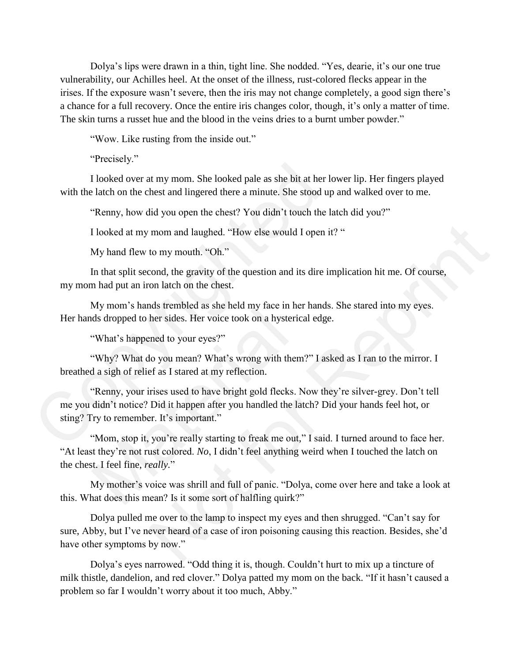Dolya's lips were drawn in a thin, tight line. She nodded. "Yes, dearie, it's our one true vulnerability, our Achilles heel. At the onset of the illness, rust-colored flecks appear in the irises. If the exposure wasn't severe, then the iris may not change completely, a good sign there's a chance for a full recovery. Once the entire iris changes color, though, it's only a matter of time. The skin turns a russet hue and the blood in the veins dries to a burnt umber powder."

"Wow. Like rusting from the inside out."

"Precisely."

I looked over at my mom. She looked pale as she bit at her lower lip. Her fingers played with the latch on the chest and lingered there a minute. She stood up and walked over to me.

"Renny, how did you open the chest? You didn't touch the latch did you?"

I looked at my mom and laughed. "How else would I open it? "

My hand flew to my mouth. "Oh."

In that split second, the gravity of the question and its dire implication hit me. Of course, my mom had put an iron latch on the chest.

My mom's hands trembled as she held my face in her hands. She stared into my eyes. Her hands dropped to her sides. Her voice took on a hysterical edge.

"What's happened to your eyes?"

"Why? What do you mean? What's wrong with them?" I asked as I ran to the mirror. I breathed a sigh of relief as I stared at my reflection.

"Renny, your irises used to have bright gold flecks. Now they're silver-grey. Don't tell me you didn't notice? Did it happen after you handled the latch? Did your hands feel hot, or sting? Try to remember. It's important." I looked over at my mom. She looked pale as she bit at her lovith the latch on the chest and lingered there a minute. She stood up "Remny, how did you open the chest? You didn't touch the la I looked at my mom and laughed. My mom's nanas a comored as site nearly interest in the dds dropped to her sides. Her voice took on a hysterica<br>
"What's happened to your eyes?"<br>
"Why? What do you mean? What's wrong with them"<br>
d a sigh of relief as I st

"Mom, stop it, you're really starting to freak me out," I said. I turned around to face her. "At least they're not rust colored. *No*, I didn't feel anything weird when I touched the latch on the chest. I feel fine, *really.*"

My mother's voice was shrill and full of panic. "Dolya, come over here and take a look at this. What does this mean? Is it some sort of halfling quirk?"

Dolya pulled me over to the lamp to inspect my eyes and then shrugged. "Can't say for sure, Abby, but I've never heard of a case of iron poisoning causing this reaction. Besides, she'd have other symptoms by now." mom and laughed. "How else would I open it? "<br>to my mouth. "Oh."<br>cond, the gravity of the question and its dire implication hit me. Of course,<br>on latch on the chest.<br>ds frembled as she held my face in her hands. She stared

Dolya's eyes narrowed. "Odd thing it is, though. Couldn't hurt to mix up a tincture of milk thistle, dandelion, and red clover." Dolya patted my mom on the back. "If it hasn't caused a problem so far I wouldn't worry about it too much, Abby."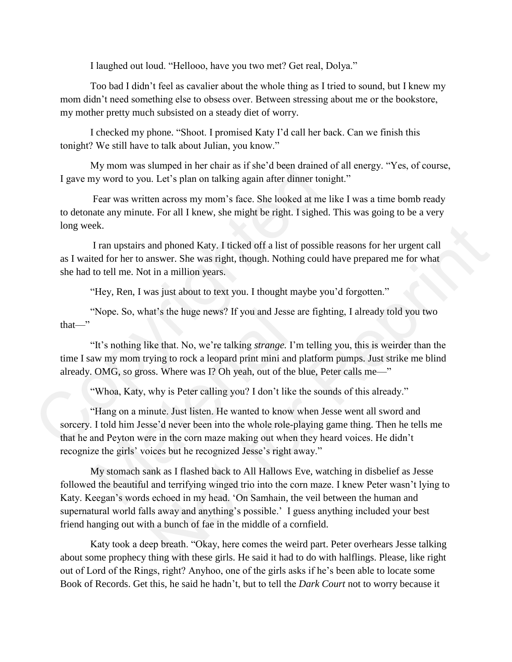I laughed out loud. "Hellooo, have you two met? Get real, Dolya."

Too bad I didn't feel as cavalier about the whole thing as I tried to sound, but I knew my mom didn't need something else to obsess over. Between stressing about me or the bookstore, my mother pretty much subsisted on a steady diet of worry.

I checked my phone. "Shoot. I promised Katy I'd call her back. Can we finish this tonight? We still have to talk about Julian, you know."

My mom was slumped in her chair as if she'd been drained of all energy. "Yes, of course, I gave my word to you. Let's plan on talking again after dinner tonight."

Fear was written across my mom's face. She looked at me like I was a time bomb ready to detonate any minute. For all I knew, she might be right. I sighed. This was going to be a very long week.

 I ran upstairs and phoned Katy. I ticked off a list of possible reasons for her urgent call as I waited for her to answer. She was right, though. Nothing could have prepared me for what she had to tell me. Not in a million years.

"Hey, Ren, I was just about to text you. I thought maybe you'd forgotten."

"Nope. So, what's the huge news? If you and Jesse are fighting, I already told you two that—"

"It's nothing like that. No, we're talking *strange.* I'm telling you, this is weirder than the time I saw my mom trying to rock a leopard print mini and platform pumps. Just strike me blind already. OMG, so gross. Where was I? Oh yeah, out of the blue, Peter calls me—"

"Whoa, Katy, why is Peter calling you? I don't like the sounds of this already."

"Hang on a minute. Just listen. He wanted to know when Jesse went all sword and sorcery. I told him Jesse'd never been into the whole role-playing game thing. Then he tells me that he and Peyton were in the corn maze making out when they heard voices. He didn't recognize the girls' voices but he recognized Jesse's right away." My mom was slumped in her chair as if she'd been drained o<br>I gave my word to you. Let's plan on talking again after dinner tonig<br>Fear was written across my mom's face. She looked at me lil<br>to detonate any minute. For all I "Nope. So, what's the huge news? If you and Jesse are"<br>"It's nothing like that. No, we're talking *strange*. I'm<br>aw my mom trying to rock a leopard print mini and pl<br>. OMG, so gross. Where was I? Oh yeah, out of the bl<br>"Wh

My stomach sank as I flashed back to All Hallows Eve, watching in disbelief as Jesse followed the beautiful and terrifying winged trio into the corn maze. I knew Peter wasn't lying to Katy. Keegan's words echoed in my head. 'On Samhain, the veil between the human and supernatural world falls away and anything's possible.' I guess anything included your best friend hanging out with a bunch of fae in the middle of a cornfield. and phoned Katy. I ticked off a list of possible reasons for her urgent call<br>tin a million years.<br>tin a million years.<br>as just about to text you. I thought maybe you'd forgotten."<br>at's the huge news? If you and Jesse are f

Katy took a deep breath. "Okay, here comes the weird part. Peter overhears Jesse talking about some prophecy thing with these girls. He said it had to do with halflings. Please, like right out of Lord of the Rings, right? Anyhoo, one of the girls asks if he's been able to locate some Book of Records. Get this, he said he hadn't, but to tell the *Dark Court* not to worry because it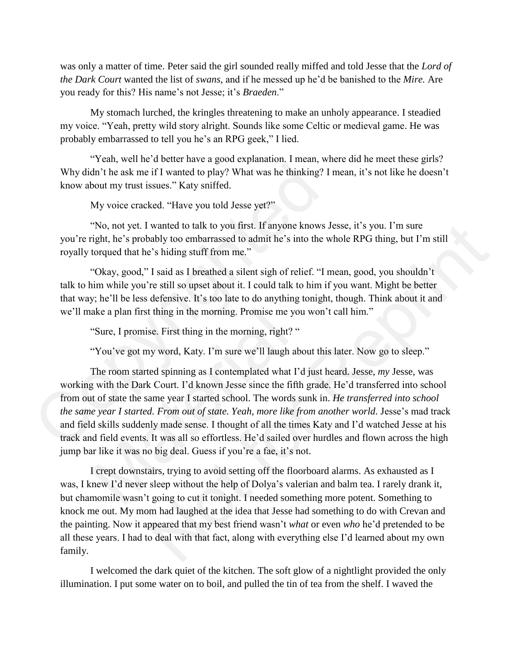was only a matter of time. Peter said the girl sounded really miffed and told Jesse that the *Lord of the Dark Court* wanted the list of *swans,* and if he messed up he'd be banished to the *Mire.* Are you ready for this? His name's not Jesse; it's *Braeden*."

My stomach lurched, the kringles threatening to make an unholy appearance. I steadied my voice. "Yeah, pretty wild story alright. Sounds like some Celtic or medieval game. He was probably embarrassed to tell you he's an RPG geek," I lied.

"Yeah, well he'd better have a good explanation. I mean, where did he meet these girls? Why didn't he ask me if I wanted to play? What was he thinking? I mean, it's not like he doesn't know about my trust issues." Katy sniffed.

My voice cracked. "Have you told Jesse yet?"

"No, not yet. I wanted to talk to you first. If anyone knows Jesse, it's you. I'm sure you're right, he's probably too embarrassed to admit he's into the whole RPG thing, but I'm still royally torqued that he's hiding stuff from me."

"Okay, good," I said as I breathed a silent sigh of relief. "I mean, good, you shouldn't talk to him while you're still so upset about it. I could talk to him if you want. Might be better that way; he'll be less defensive. It's too late to do anything tonight, though. Think about it and we'll make a plan first thing in the morning. Promise me you won't call him."

"Sure, I promise. First thing in the morning, right? "

"You've got my word, Katy. I'm sure we'll laugh about this later. Now go to sleep."

The room started spinning as I contemplated what I'd just heard. Jesse, *my* Jesse, was working with the Dark Court. I'd known Jesse since the fifth grade. He'd transferred into school from out of state the same year I started school. The words sunk in. *He transferred into school the same year I started. From out of state. Yeah, more like from another world.* Jesse's mad track and field skills suddenly made sense. I thought of all the times Katy and I'd watched Jesse at his track and field events. It was all so effortless. He'd sailed over hurdles and flown across the high jump bar like it was no big deal. Guess if you're a fae, it's not. Why didn't he ask me if I wanted to play? What was he thinking? I n<br>know about my trust issues." Katy sniffed.<br>My voice cracked. "Have you told Jesse yet?"<br>
"No, not yet. I wanted to talk to you first. If anyone knows Je<br> ake a plan first thing in the morning. Promise me you<br>
"Sure, I promise. First thing in the morning, right? "<br>
"You've got my word, Katy. I'm sure we'll laugh abo<br>
The room started spinning as I contemplated what I'd<br>
g wi wanted to talk to you first. If anyone knows Jesse, it's you. I'm sure<br>ably too embarassed to admit he's into the whole RPG thing, but I'm still<br>is 's hiding stuff from me."<br>I said as I breathed a silent sigh of relief. "

I crept downstairs, trying to avoid setting off the floorboard alarms. As exhausted as I was, I knew I'd never sleep without the help of Dolya's valerian and balm tea. I rarely drank it, but chamomile wasn't going to cut it tonight. I needed something more potent. Something to knock me out. My mom had laughed at the idea that Jesse had something to do with Crevan and the painting. Now it appeared that my best friend wasn't *what* or even *who* he'd pretended to be all these years. I had to deal with that fact, along with everything else I'd learned about my own family.

I welcomed the dark quiet of the kitchen. The soft glow of a nightlight provided the only illumination. I put some water on to boil, and pulled the tin of tea from the shelf. I waved the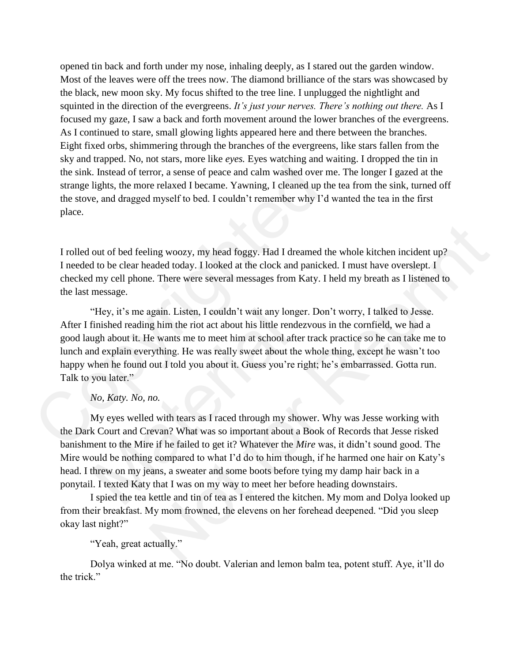opened tin back and forth under my nose, inhaling deeply, as I stared out the garden window. Most of the leaves were off the trees now. The diamond brilliance of the stars was showcased by the black, new moon sky. My focus shifted to the tree line. I unplugged the nightlight and squinted in the direction of the evergreens. *It's just your nerves. There's nothing out there.* As I focused my gaze, I saw a back and forth movement around the lower branches of the evergreens. As I continued to stare, small glowing lights appeared here and there between the branches. Eight fixed orbs, shimmering through the branches of the evergreens, like stars fallen from the sky and trapped. No, not stars, more like *eyes.* Eyes watching and waiting. I dropped the tin in the sink. Instead of terror, a sense of peace and calm washed over me. The longer I gazed at the strange lights, the more relaxed I became. Yawning, I cleaned up the tea from the sink, turned off the stove, and dragged myself to bed. I couldn't remember why I'd wanted the tea in the first place.

I rolled out of bed feeling woozy, my head foggy. Had I dreamed the whole kitchen incident up? I needed to be clear headed today. I looked at the clock and panicked. I must have overslept. I checked my cell phone. There were several messages from Katy. I held my breath as I listened to the last message.

"Hey, it's me again. Listen, I couldn't wait any longer. Don't worry, I talked to Jesse. After I finished reading him the riot act about his little rendezvous in the cornfield, we had a good laugh about it. He wants me to meet him at school after track practice so he can take me to lunch and explain everything. He was really sweet about the whole thing, except he wasn't too happy when he found out I told you about it. Guess you're right; he's embarrassed. Gotta run. Talk to you later." the sink. Instead of terror, a sense of peace and calm washed over me<br>strange lights, the more relaxed I became. Yawning, I cleaned up the<br>the stove, and dragged myself to bed. I couldn't remember why I'd w<br>place.<br>I rolle ing woozy, my head foggy. Had I dreamed the whole kitchen incident up?<br>
aded today. I looked at the clock and panicked. I must have overslept. I<br>
e. There were several messages from Katy. I held my breath as I listened to<br>

### *No, Katy. No, no.*

My eyes welled with tears as I raced through my shower. Why was Jesse working with the Dark Court and Crevan? What was so important about a Book of Records that Jesse risked banishment to the Mire if he failed to get it? Whatever the *Mire* was, it didn't sound good. The Mire would be nothing compared to what I'd do to him though, if he harmed one hair on Katy's head. I threw on my jeans, a sweater and some boots before tying my damp hair back in a ponytail. I texted Katy that I was on my way to meet her before heading downstairs. "Hey, it's me again. Listen, I couldn't wait any longer<br>finished reading him the riot act about his little rendez<br>ugh about it. He wants me to meet him at school after<br>nd explain everything. He was really sweet about the<br>

I spied the tea kettle and tin of tea as I entered the kitchen. My mom and Dolya looked up from their breakfast. My mom frowned, the elevens on her forehead deepened. "Did you sleep okay last night?"

"Yeah, great actually."

Dolya winked at me. "No doubt. Valerian and lemon balm tea, potent stuff. Aye, it'll do the trick."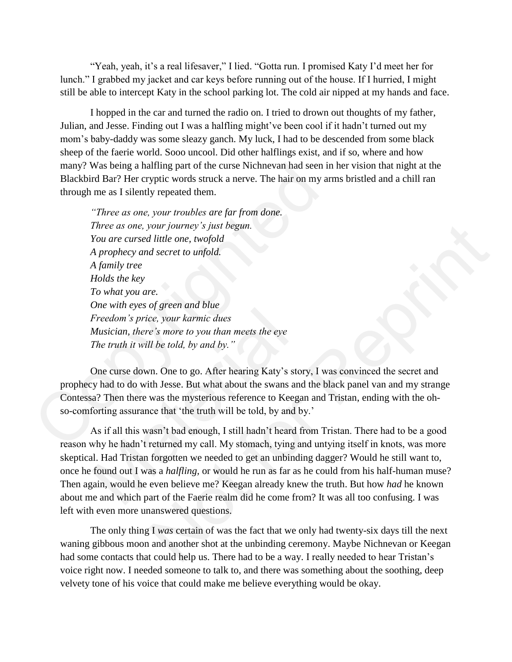"Yeah, yeah, it's a real lifesaver," I lied. "Gotta run. I promised Katy I'd meet her for lunch." I grabbed my jacket and car keys before running out of the house. If I hurried, I might still be able to intercept Katy in the school parking lot. The cold air nipped at my hands and face.

I hopped in the car and turned the radio on. I tried to drown out thoughts of my father, Julian, and Jesse. Finding out I was a halfling might've been cool if it hadn't turned out my mom's baby-daddy was some sleazy ganch. My luck, I had to be descended from some black sheep of the faerie world. Sooo uncool. Did other halflings exist, and if so, where and how many? Was being a halfling part of the curse Nichnevan had seen in her vision that night at the Blackbird Bar? Her cryptic words struck a nerve. The hair on my arms bristled and a chill ran through me as I silently repeated them.

*"Three as one, your troubles are far from done. Three as one, your journey's just begun. You are cursed little one, twofold A prophecy and secret to unfold. A family tree Holds the key To what you are. One with eyes of green and blue Freedom's price, your karmic dues Musician, there's more to you than meets the eye The truth it will be told, by and by."* many? Was being a halfling part of the curse Nichnevan had seen in<br>Blackbird Bar? Her cryptic words struck a nerve. The hair on my arm<br>through me as I silently repeated them.<br>"Three as one, your troubles are far from done

One curse down. One to go. After hearing Katy's story, I was convinced the secret and prophecy had to do with Jesse. But what about the swans and the black panel van and my strange Contessa? Then there was the mysterious reference to Keegan and Tristan, ending with the ohso-comforting assurance that 'the truth will be told, by and by.'

As if all this wasn't bad enough, I still hadn't heard from Tristan. There had to be a good reason why he hadn't returned my call. My stomach, tying and untying itself in knots, was more skeptical. Had Tristan forgotten we needed to get an unbinding dagger? Would he still want to, once he found out I was a *halfling,* or would he run as far as he could from his half-human muse? Then again, would he even believe me? Keegan already knew the truth. But how *had* he known about me and which part of the Faerie realm did he come from? It was all too confusing. I was left with even more unanswered questions. Freedom's price, your karmic dues<br>Freedom's price, your karmic dues<br>Musician, there's more to you than meets the eye<br>The truth it will be told, by and by."<br>One curse down. One to go. After hearing Katy's stor<br>Solve that th vour journey's just begun.<br>
The core, twofold<br>
of secret to unfold.<br>
The core, your karmic dues<br>
of green and blue<br>
ce, your karmic dues<br>
of the total, by and by."<br>
The Core, After hearing Katy's story, I was convinced the

The only thing I *was* certain of was the fact that we only had twenty-six days till the next waning gibbous moon and another shot at the unbinding ceremony. Maybe Nichnevan or Keegan had some contacts that could help us. There had to be a way. I really needed to hear Tristan's voice right now. I needed someone to talk to, and there was something about the soothing, deep velvety tone of his voice that could make me believe everything would be okay.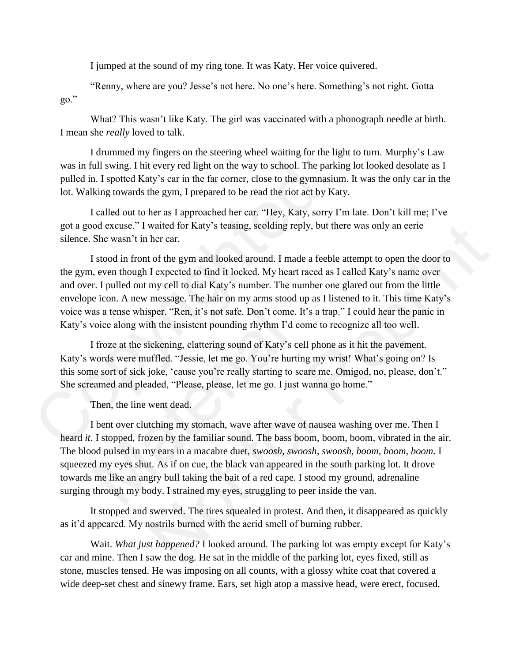I jumped at the sound of my ring tone. It was Katy. Her voice quivered.

"Renny, where are you? Jesse's not here. No one's here. Something's not right. Gotta go."

What? This wasn't like Katy. The girl was vaccinated with a phonograph needle at birth. I mean she *really* loved to talk.

I drummed my fingers on the steering wheel waiting for the light to turn. Murphy's Law was in full swing. I hit every red light on the way to school. The parking lot looked desolate as I pulled in. I spotted Katy's car in the far corner, close to the gymnasium. It was the only car in the lot. Walking towards the gym, I prepared to be read the riot act by Katy.

I called out to her as I approached her car. "Hey, Katy, sorry I'm late. Don't kill me; I've got a good excuse." I waited for Katy's teasing, scolding reply, but there was only an eerie silence. She wasn't in her car.

I stood in front of the gym and looked around. I made a feeble attempt to open the door to the gym, even though I expected to find it locked. My heart raced as I called Katy's name over and over. I pulled out my cell to dial Katy's number. The number one glared out from the little envelope icon. A new message. The hair on my arms stood up as I listened to it. This time Katy's voice was a tense whisper. "Ren, it's not safe. Don't come. It's a trap." I could hear the panic in Katy's voice along with the insistent pounding rhythm I'd come to recognize all too well. was in full swing. I hit every red light on the way to school. The park<br>pulled in. I spotted Katy's car in the far corner, close to the gymnasii<br>lot. Walking towards the gym, I prepared to be read the riot act by K.<br>I call waited for Katy's teasing, scolding reply, but there was only an ecric<br>her ear.<br>her car.<br>the form and looked around. I made a feeble attempt to open the door to<br>I expected to find it locked. My heart raced as I called Katy

I froze at the sickening, clattering sound of Katy's cell phone as it hit the pavement. Katy's words were muffled. "Jessie, let me go. You're hurting my wrist! What's going on? Is this some sort of sick joke, 'cause you're really starting to scare me. Omigod, no, please, don't." She screamed and pleaded, "Please, please, let me go. I just wanna go home."

Then, the line went dead.

I bent over clutching my stomach, wave after wave of nausea washing over me. Then I heard *it*. I stopped, frozen by the familiar sound. The bass boom, boom, boom, vibrated in the air. The blood pulsed in my ears in a macabre duet, *swoosh, swoosh, swoosh, boom, boom, boom.* I squeezed my eyes shut. As if on cue, the black van appeared in the south parking lot. It drove towards me like an angry bull taking the bait of a red cape. I stood my ground, adrenaline surging through my body. I strained my eyes, struggling to peer inside the van. as a tense whisper. "Ren, it's not safe. Don't come. It<br>voice along with the insistent pounding rhythm I'd co<br>I froze at the sickening, clattering sound of Katy's cel<br>words were muffled. "Jessie, let me go. You're hurtin<br>n

It stopped and swerved. The tires squealed in protest. And then, it disappeared as quickly as it'd appeared. My nostrils burned with the acrid smell of burning rubber.

Wait. *What just happened?* I looked around. The parking lot was empty except for Katy's car and mine. Then I saw the dog. He sat in the middle of the parking lot, eyes fixed, still as stone, muscles tensed. He was imposing on all counts, with a glossy white coat that covered a wide deep-set chest and sinewy frame. Ears, set high atop a massive head, were erect, focused.